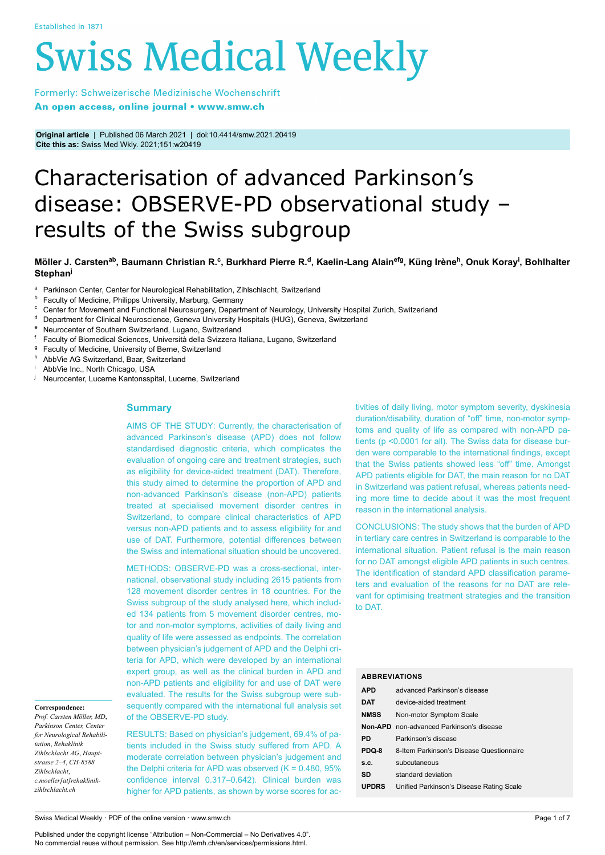# **Swiss Medical Weekly**

Formerly: Schweizerische Medizinische Wochenschrift An open access, online journal • www.smw.ch

**Original article** | Published 06 March 2021 | doi:10.4414/smw.2021.20419 **Cite this as:** Swiss Med Wkly. 2021;151:w20419

# Characterisation of advanced Parkinson's disease: OBSERVE-PD observational study – results of the Swiss subgroup

# Möller J. Carsten<sup>ab</sup>, Baumann Christian R.<sup>c</sup>, Burkhard Pierre R.<sup>d</sup>, Kaelin-Lang Alain<sup>efg</sup>, Küng Irène<sup>h</sup>, Onuk Koray<sup>i</sup>, Bohlhalter **Stephan<sup>j</sup>**

- <sup>a</sup> Parkinson Center, Center for Neurological Rehabilitation, Zihlschlacht, Switzerland
- <sup>b</sup> Faculty of Medicine, Philipps University, Marburg, Germany<br><sup>c</sup> Center for Movement and Eunctional Neurosurgeny Departs
- <sup>c</sup> Center for Movement and Functional Neurosurgery, Department of Neurology, University Hospital Zurich, Switzerland
- <sup>d</sup> Department for Clinical Neuroscience, Geneva University Hospitals (HUG), Geneva, Switzerland
- <sup>e</sup> Neurocenter of Southern Switzerland, Lugano, Switzerland<br><sup>f</sup> Eaculty of Biomedical Sciences, Università della Svizzera II
- <sup>f</sup> Faculty of Biomedical Sciences, Università della Svizzera Italiana, Lugano, Switzerland
- <sup>g</sup> Faculty of Medicine, University of Berne, Switzerland
- <sup>h</sup> AbbVie AG Switzerland, Baar, Switzerland
- AbbVie Inc., North Chicago, USA
- <sup>j</sup> Neurocenter, Lucerne Kantonsspital, Lucerne, Switzerland

# **Summary**

AIMS OF THE STUDY: Currently, the characterisation of advanced Parkinson's disease (APD) does not follow standardised diagnostic criteria, which complicates the evaluation of ongoing care and treatment strategies, such as eligibility for device-aided treatment (DAT). Therefore, this study aimed to determine the proportion of APD and non-advanced Parkinson's disease (non-APD) patients treated at specialised movement disorder centres in Switzerland, to compare clinical characteristics of APD versus non-APD patients and to assess eligibility for and use of DAT. Furthermore, potential differences between the Swiss and international situation should be uncovered.

METHODS: OBSERVE-PD was a cross-sectional, international, observational study including 2615 patients from 128 movement disorder centres in 18 countries. For the Swiss subgroup of the study analysed here, which included 134 patients from 5 movement disorder centres, motor and non-motor symptoms, activities of daily living and quality of life were assessed as endpoints. The correlation between physician's judgement of APD and the Delphi criteria for APD, which were developed by an international expert group, as well as the clinical burden in APD and non-APD patients and eligibility for and use of DAT were evaluated. The results for the Swiss subgroup were subsequently compared with the international full analysis set of the OBSERVE-PD study.

**Correspondence:**

*Prof. Carsten Möller, MD*, *Parkinson Center, Center for Neurological Rehabilitation*, *Rehaklinik Zihlschlacht AG*, *Hauptstrasse 2–4*, *CH-8588 Zihlschlacht*, *c.moeller[at]rehaklinikzihlschlacht.ch*

RESULTS: Based on physician's judgement, 69.4% of patients included in the Swiss study suffered from APD. A moderate correlation between physician's judgement and the Delphi criteria for APD was observed (Κ = 0.480, 95% confidence interval 0.317–0.642). Clinical burden was higher for APD patients, as shown by worse scores for activities of daily living, motor symptom severity, dyskinesia duration/disability, duration of "off" time, non-motor symptoms and quality of life as compared with non-APD patients (p <0.0001 for all). The Swiss data for disease burden were comparable to the international findings, except that the Swiss patients showed less "off" time. Amongst APD patients eligible for DAT, the main reason for no DAT in Switzerland was patient refusal, whereas patients needing more time to decide about it was the most frequent reason in the international analysis.

CONCLUSIONS: The study shows that the burden of APD in tertiary care centres in Switzerland is comparable to the international situation. Patient refusal is the main reason for no DAT amongst eligible APD patients in such centres. The identification of standard APD classification parameters and evaluation of the reasons for no DAT are relevant for optimising treatment strategies and the transition to DAT.

# **ABBREVIATIONS**

| <b>APD</b>   | advanced Parkinson's disease                    |
|--------------|-------------------------------------------------|
| <b>DAT</b>   | device-aided treatment                          |
| <b>NMSS</b>  | Non-motor Symptom Scale                         |
|              | <b>Non-APD</b> non-advanced Parkinson's disease |
| PD           | Parkinson's disease                             |
| PDQ-8        | 8-Item Parkinson's Disease Questionnaire        |
| S.C.         | subcutaneous                                    |
| SD           | standard deviation                              |
| <b>UPDRS</b> | Unified Parkinson's Disease Rating Scale        |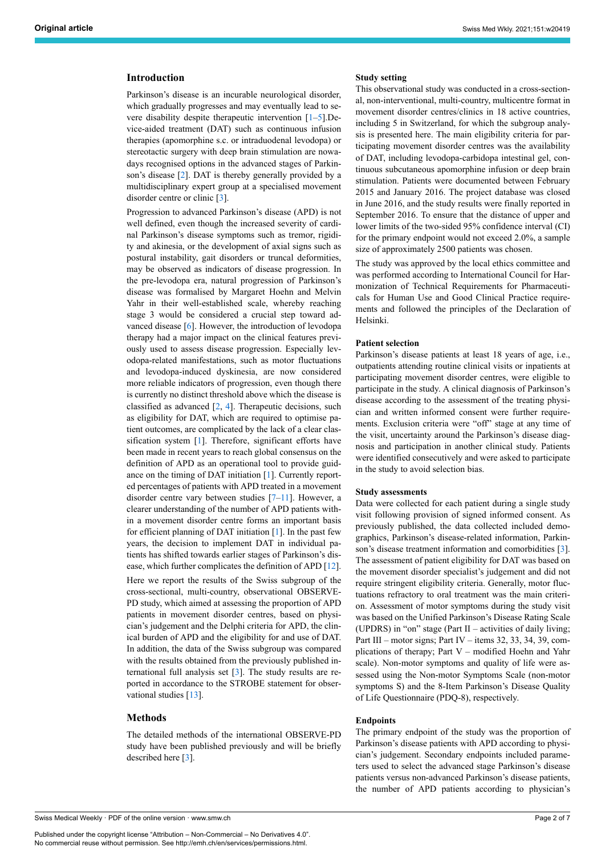# **Introduction**

Parkinson's disease is an incurable neurological disorder, which gradually progresses and may eventually lead to severe disability despite therapeutic intervention [[1](#page-6-0)–[5](#page-6-1)].Device-aided treatment (DAT) such as continuous infusion therapies (apomorphine s.c. or intraduodenal levodopa) or stereotactic surgery with deep brain stimulation are nowadays recognised options in the advanced stages of Parkinson's disease [[2](#page-6-2)]. DAT is thereby generally provided by a multidisciplinary expert group at a specialised movement disorder centre or clinic [[3](#page-6-3)].

Progression to advanced Parkinson's disease (APD) is not well defined, even though the increased severity of cardinal Parkinson's disease symptoms such as tremor, rigidity and akinesia, or the development of axial signs such as postural instability, gait disorders or truncal deformities, may be observed as indicators of disease progression. In the pre-levodopa era, natural progression of Parkinson's disease was formalised by Margaret Hoehn and Melvin Yahr in their well-established scale, whereby reaching stage 3 would be considered a crucial step toward advanced disease [[6](#page-6-4)]. However, the introduction of levodopa therapy had a major impact on the clinical features previously used to assess disease progression. Especially levodopa-related manifestations, such as motor fluctuations and levodopa-induced dyskinesia, are now considered more reliable indicators of progression, even though there is currently no distinct threshold above which the disease is classified as advanced [\[2,](#page-6-2) [4](#page-6-5)]. Therapeutic decisions, such as eligibility for DAT, which are required to optimise patient outcomes, are complicated by the lack of a clear classification system [\[1\]](#page-6-0). Therefore, significant efforts have been made in recent years to reach global consensus on the definition of APD as an operational tool to provide guidance on the timing of DAT initiation [\[1\]](#page-6-0). Currently reported percentages of patients with APD treated in a movement disorder centre vary between studies [\[7](#page-6-6)[–11\]](#page-6-7). However, a clearer understanding of the number of APD patients within a movement disorder centre forms an important basis for efficient planning of DAT initiation [[1](#page-6-0)]. In the past few years, the decision to implement DAT in individual patients has shifted towards earlier stages of Parkinson's disease, which further complicates the definition of APD [[12\]](#page-6-8). Here we report the results of the Swiss subgroup of the cross-sectional, multi-country, observational OBSERVE-PD study, which aimed at assessing the proportion of APD patients in movement disorder centres, based on physician's judgement and the Delphi criteria for APD, the clinical burden of APD and the eligibility for and use of DAT. In addition, the data of the Swiss subgroup was compared with the results obtained from the previously published international full analysis set [\[3\]](#page-6-3). The study results are reported in accordance to the STROBE statement for obser-vational studies [\[13](#page-6-9)].

# **Methods**

The detailed methods of the international OBSERVE-PD study have been published previously and will be briefly described here [\[3\]](#page-6-3).

## **Study setting**

This observational study was conducted in a cross-sectional, non-interventional, multi-country, multicentre format in movement disorder centres/clinics in 18 active countries, including 5 in Switzerland, for which the subgroup analysis is presented here. The main eligibility criteria for participating movement disorder centres was the availability of DAT, including levodopa-carbidopa intestinal gel, continuous subcutaneous apomorphine infusion or deep brain stimulation. Patients were documented between February 2015 and January 2016. The project database was closed in June 2016, and the study results were finally reported in September 2016. To ensure that the distance of upper and lower limits of the two-sided 95% confidence interval (CI) for the primary endpoint would not exceed 2.0%, a sample size of approximately 2500 patients was chosen.

The study was approved by the local ethics committee and was performed according to International Council for Harmonization of Technical Requirements for Pharmaceuticals for Human Use and Good Clinical Practice requirements and followed the principles of the Declaration of Helsinki.

#### **Patient selection**

Parkinson's disease patients at least 18 years of age, i.e., outpatients attending routine clinical visits or inpatients at participating movement disorder centres, were eligible to participate in the study. A clinical diagnosis of Parkinson's disease according to the assessment of the treating physician and written informed consent were further requirements. Exclusion criteria were "off" stage at any time of the visit, uncertainty around the Parkinson's disease diagnosis and participation in another clinical study. Patients were identified consecutively and were asked to participate in the study to avoid selection bias.

#### **Study assessments**

Data were collected for each patient during a single study visit following provision of signed informed consent. As previously published, the data collected included demographics, Parkinson's disease-related information, Parkinson's disease treatment information and comorbidities [[3](#page-6-3)]. The assessment of patient eligibility for DAT was based on the movement disorder specialist's judgement and did not require stringent eligibility criteria. Generally, motor fluctuations refractory to oral treatment was the main criterion. Assessment of motor symptoms during the study visit was based on the Unified Parkinson's Disease Rating Scale (UPDRS) in "on" stage (Part II – activities of daily living; Part III – motor signs; Part IV – items 32, 33, 34, 39, complications of therapy; Part V – modified Hoehn and Yahr scale). Non-motor symptoms and quality of life were assessed using the Non-motor Symptoms Scale (non-motor symptoms S) and the 8-Item Parkinson's Disease Quality of Life Questionnaire (PDQ-8), respectively.

#### **Endpoints**

The primary endpoint of the study was the proportion of Parkinson's disease patients with APD according to physician's judgement. Secondary endpoints included parameters used to select the advanced stage Parkinson's disease patients versus non-advanced Parkinson's disease patients, the number of APD patients according to physician's

Swiss Medical Weekly · PDF of the online version · www.smw.ch

Published under the copyright license "Attribution – Non-Commercial – No Derivatives 4.0". No commercial reuse without permission. See http://emh.ch/en/services/permissions.html.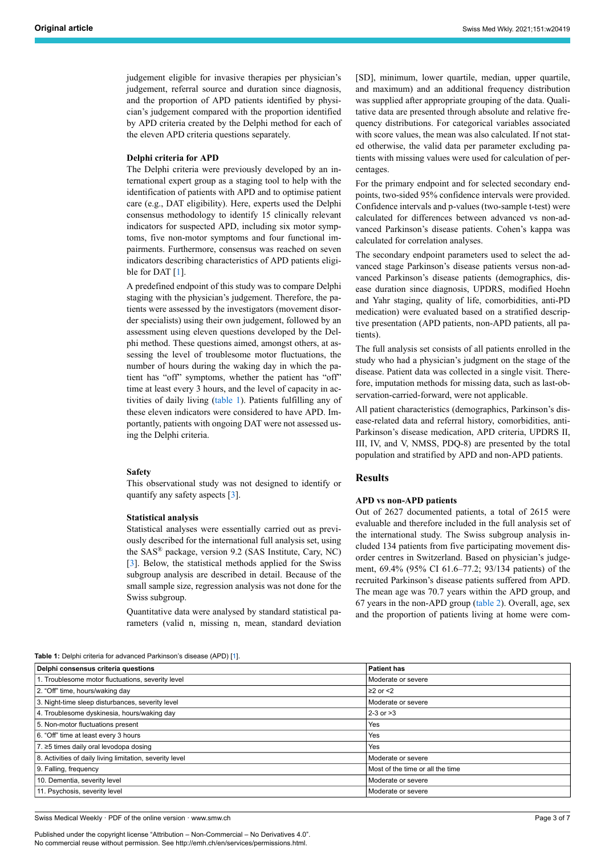judgement eligible for invasive therapies per physician's judgement, referral source and duration since diagnosis, and the proportion of APD patients identified by physician's judgement compared with the proportion identified by APD criteria created by the Delphi method for each of the eleven APD criteria questions separately.

#### **Delphi criteria for APD**

The Delphi criteria were previously developed by an international expert group as a staging tool to help with the identification of patients with APD and to optimise patient care (e.g., DAT eligibility). Here, experts used the Delphi consensus methodology to identify 15 clinically relevant indicators for suspected APD, including six motor symptoms, five non-motor symptoms and four functional impairments. Furthermore, consensus was reached on seven indicators describing characteristics of APD patients eligi-ble for DAT [\[1\]](#page-6-0).

A predefined endpoint of this study was to compare Delphi staging with the physician's judgement. Therefore, the patients were assessed by the investigators (movement disorder specialists) using their own judgement, followed by an assessment using eleven questions developed by the Delphi method. These questions aimed, amongst others, at assessing the level of troublesome motor fluctuations, the number of hours during the waking day in which the patient has "off" symptoms, whether the patient has "off" time at least every 3 hours, and the level of capacity in activities of daily living ([table 1\)](#page-2-0). Patients fulfilling any of these eleven indicators were considered to have APD. Importantly, patients with ongoing DAT were not assessed using the Delphi criteria.

#### **Safety**

This observational study was not designed to identify or quantify any safety aspects [\[3\]](#page-6-3).

#### **Statistical analysis**

Statistical analyses were essentially carried out as previously described for the international full analysis set, using the SAS® package, version 9.2 (SAS Institute, Cary, NC) [[3](#page-6-3)]. Below, the statistical methods applied for the Swiss subgroup analysis are described in detail. Because of the small sample size, regression analysis was not done for the Swiss subgroup.

Quantitative data were analysed by standard statistical parameters (valid n, missing n, mean, standard deviation [SD], minimum, lower quartile, median, upper quartile, and maximum) and an additional frequency distribution was supplied after appropriate grouping of the data. Qualitative data are presented through absolute and relative frequency distributions. For categorical variables associated with score values, the mean was also calculated. If not stated otherwise, the valid data per parameter excluding patients with missing values were used for calculation of percentages.

For the primary endpoint and for selected secondary endpoints, two-sided 95% confidence intervals were provided. Confidence intervals and p-values (two-sample t-test) were calculated for differences between advanced vs non-advanced Parkinson's disease patients. Cohen's kappa was calculated for correlation analyses.

The secondary endpoint parameters used to select the advanced stage Parkinson's disease patients versus non-advanced Parkinson's disease patients (demographics, disease duration since diagnosis, UPDRS, modified Hoehn and Yahr staging, quality of life, comorbidities, anti-PD medication) were evaluated based on a stratified descriptive presentation (APD patients, non-APD patients, all patients).

The full analysis set consists of all patients enrolled in the study who had a physician's judgment on the stage of the disease. Patient data was collected in a single visit. Therefore, imputation methods for missing data, such as last-observation-carried-forward, were not applicable.

All patient characteristics (demographics, Parkinson's disease-related data and referral history, comorbidities, anti-Parkinson's disease medication, APD criteria, UPDRS II, III, IV, and V, NMSS, PDQ-8) are presented by the total population and stratified by APD and non-APD patients.

#### **Results**

#### **APD vs non-APD patients**

Out of 2627 documented patients, a total of 2615 were evaluable and therefore included in the full analysis set of the international study. The Swiss subgroup analysis included 134 patients from five participating movement disorder centres in Switzerland. Based on physician's judgement, 69.4% (95% CI 61.6–77.2; 93/134 patients) of the recruited Parkinson's disease patients suffered from APD. The mean age was 70.7 years within the APD group, and 67 years in the non-APD group ([table 2\)](#page-3-0). Overall, age, sex and the proportion of patients living at home were com-

<span id="page-2-0"></span>**Table 1:** Delphi criteria for advanced Parkinson's disease (APD) [[1\]](#page-6-0).

| Delphi consensus criteria questions                      | <b>Patient has</b>               |  |  |
|----------------------------------------------------------|----------------------------------|--|--|
| 1. Troublesome motor fluctuations, severity level        | Moderate or severe               |  |  |
| 2. "Off" time, hours/waking day                          | $\geq$ or $\leq$ 2               |  |  |
| 3. Night-time sleep disturbances, severity level         | Moderate or severe               |  |  |
| 4. Troublesome dyskinesia, hours/waking day              | $2-3$ or $>3$                    |  |  |
| 5. Non-motor fluctuations present                        | Yes                              |  |  |
| 6. "Off" time at least every 3 hours                     | Yes                              |  |  |
| 7. ≥5 times daily oral levodopa dosing                   | Yes                              |  |  |
| 8. Activities of daily living limitation, severity level | Moderate or severe               |  |  |
| 9. Falling, frequency                                    | Most of the time or all the time |  |  |
| 10. Dementia, severity level                             | Moderate or severe               |  |  |
| 11. Psychosis, severity level                            | Moderate or severe               |  |  |

Swiss Medical Weekly · PDF of the online version · www.smw.ch

Published under the copyright license "Attribution – Non-Commercial – No Derivatives 4.0". No commercial reuse without permission. See http://emh.ch/en/services/permissions.html.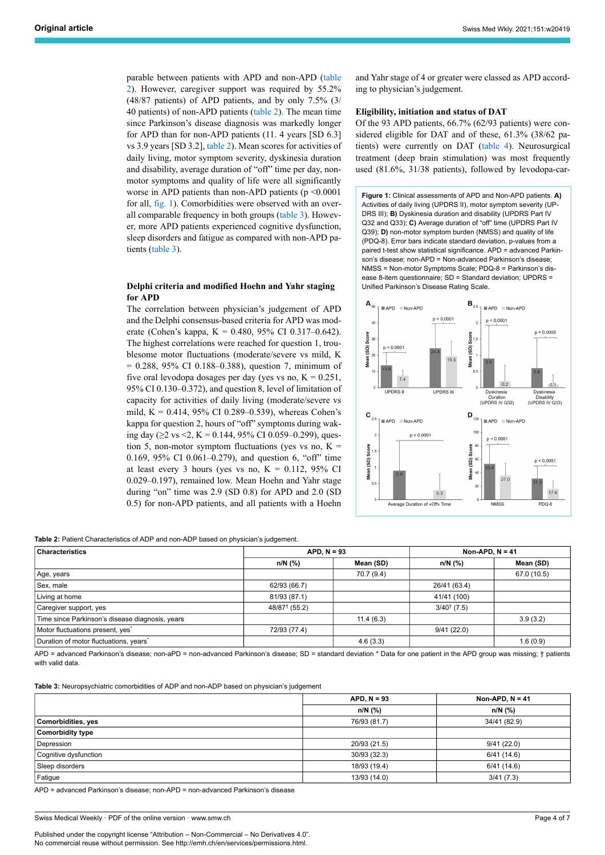parable between patients with APD and non-APD [\(table](#page-3-0) [2](#page-3-0)). However, caregiver support was required by 55.2% (48/87 patients) of APD patients, and by only 7.5% (3/ 40 patients) of non-APD patients ([table 2](#page-3-0)). The mean time since Parkinson's disease diagnosis was markedly longer for APD than for non-APD patients (11. 4 years [SD 6.3] vs 3.9 years [SD 3.2], [table 2\)](#page-3-0). Mean scores for activities of daily living, motor symptom severity, dyskinesia duration and disability, average duration of "off" time per day, nonmotor symptoms and quality of life were all significantly worse in APD patients than non-APD patients (p <0.0001 for all, [fig. 1\)](#page-3-1). Comorbidities were observed with an overall comparable frequency in both groups [\(table 3](#page-3-2)). However, more APD patients experienced cognitive dysfunction, sleep disorders and fatigue as compared with non-APD patients [\(table 3\)](#page-3-2).

# <span id="page-3-1"></span>**Delphi criteria and modified Hoehn and Yahr staging for APD**

The correlation between physician's judgement of APD and the Delphi consensus-based criteria for APD was moderate (Cohen's kappa, Κ = 0.480, 95% CI 0.317–0.642). The highest correlations were reached for question 1, troublesome motor fluctuations (moderate/severe vs mild, Κ = 0.288, 95% CI 0.188–0.388), question 7, minimum of five oral levodopa dosages per day (yes vs no,  $K = 0.251$ , 95% CI 0.130–0.372), and question 8, level of limitation of capacity for activities of daily living (moderate/severe vs mild, K = 0.414, 95% CI 0.289–0.539), whereas Cohen's kappa for question 2, hours of "off" symptoms during waking day ( $\geq$ 2 vs <2, K = 0.144, 95% CI 0.059–0.299), question 5, non-motor symptom fluctuations (yes vs no,  $K =$ 0.169, 95% CI 0.061–0.279), and question 6, "off" time at least every 3 hours (yes vs no,  $K = 0.112$ , 95% CI 0.029–0.197), remained low. Mean Hoehn and Yahr stage during "on" time was 2.9 (SD 0.8) for APD and 2.0 (SD 0.5) for non-APD patients, and all patients with a Hoehn

<span id="page-3-0"></span>**Table 2:** Patient Characteristics of ADP and non-ADP based on physician's judgement.

| <b>Characteristics</b>                          | $APD. N = 93$             |            | Non-APD, $N = 41$      |             |
|-------------------------------------------------|---------------------------|------------|------------------------|-------------|
|                                                 | $n/N$ (%)                 | Mean (SD)  | $n/N$ (%)              | Mean (SD)   |
| Age, years                                      |                           | 70.7 (9.4) |                        | 67.0 (10.5) |
| Sex, male                                       | 62/93 (66.7)              |            | 26/41 (63.4)           |             |
| Living at home                                  | 81/93 (87.1)              |            | 41/41 (100)            |             |
| Caregiver support, yes                          | 48/87 <sup>†</sup> (55.2) |            | $3/40^{\dagger}$ (7.5) |             |
| Time since Parkinson's disease diagnosis, years |                           | 11.4(6.3)  |                        | 3.9(3.2)    |
| Motor fluctuations present, yes <sup>*</sup>    | 72/93 (77.4)              |            | 9/41(22.0)             |             |
| Duration of motor fluctuations, years*          |                           | 4.6(3.3)   |                        | 1.6(0.9)    |

APD = advanced Parkinson's disease; non-aPD = non-advanced Parkinson's disease; SD = standard deviation \* Data for one patient in the APD group was missing; † patients with valid data.

<span id="page-3-2"></span>**Table 3:** Neuropsychiatric comorbidities of ADP and non-ADP based on physician's judgement

|                         | $APD, N = 93$ | Non-APD, $N = 41$ |  |
|-------------------------|---------------|-------------------|--|
|                         | n/N (%)       | $n/N$ (%)         |  |
| Comorbidities, yes      | 76/93 (81.7)  | 34/41 (82.9)      |  |
| <b>Comorbidity type</b> |               |                   |  |
| Depression              | 20/93 (21.5)  | 9/41(22.0)        |  |
| Cognitive dysfunction   | 30/93 (32.3)  | 6/41(14.6)        |  |
| Sleep disorders         | 18/93 (19.4)  | 6/41(14.6)        |  |
| Fatigue                 | 13/93 (14.0)  | 3/41(7.3)         |  |

APD = advanced Parkinson's disease; non-APD = non-advanced Parkinson's disease

Swiss Medical Weekly · PDF of the online version · www.smw.ch

Published under the copyright license "Attribution – Non-Commercial – No Derivatives 4.0". No commercial reuse without permission. See http://emh.ch/en/services/permissions.html.

and Yahr stage of 4 or greater were classed as APD according to physician's judgement.

#### **Eligibility, initiation and status of DAT**

Of the 93 APD patients, 66.7% (62/93 patients) were considered eligible for DAT and of these, 61.3% (38/62 patients) were currently on DAT [\(table 4\)](#page-4-0). Neurosurgical treatment (deep brain stimulation) was most frequently used (81.6%, 31/38 patients), followed by levodopa-car-

**Figure 1:** Clinical assessments of APD and Non-APD patients. **A)** Activities of daily living (UPDRS II), motor symptom severity (UP-DRS III); **B)** Dyskinesia duration and disability (UPDRS Part IV Q32 and Q33); **C)** Average duration of "off" time (UPDRS Part IV Q39); **D)** non-motor symptom burden (NMSS) and quality of life (PDQ-8). Error bars indicate standard deviation, p-values from a paired t-test show statistical significance. APD = advanced Parkinson's disease; non-APD = Non-advanced Parkinson's disease; NMSS = Non-motor Symptoms Scale; PDQ-8 = Parkinson's disease 8-item questionnaire; SD = Standard deviation; UPDRS = Unified Parkinson's Disease Rating Scale.

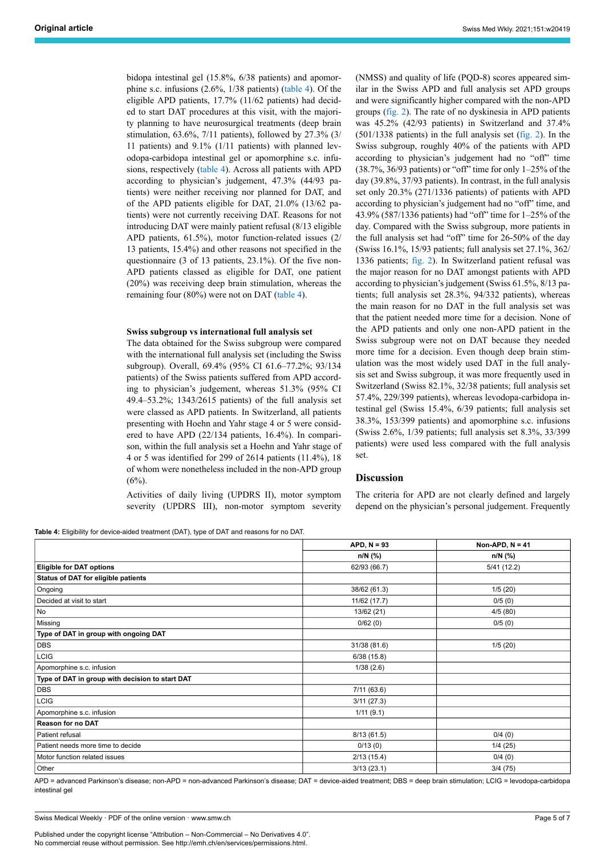bidopa intestinal gel (15.8%, 6/38 patients) and apomorphine s.c. infusions (2.6%, 1/38 patients) [\(table 4\)](#page-4-0). Of the eligible APD patients, 17.7% (11/62 patients) had decided to start DAT procedures at this visit, with the majority planning to have neurosurgical treatments (deep brain stimulation, 63.6%, 7/11 patients), followed by 27.3% (3/ 11 patients) and 9.1% (1/11 patients) with planned levodopa-carbidopa intestinal gel or apomorphine s.c. infusions, respectively [\(table 4\)](#page-4-0). Across all patients with APD according to physician's judgement, 47.3% (44/93 patients) were neither receiving nor planned for DAT, and of the APD patients eligible for DAT, 21.0% (13/62 patients) were not currently receiving DAT. Reasons for not introducing DAT were mainly patient refusal (8/13 eligible APD patients, 61.5%), motor function-related issues (2/ 13 patients, 15.4%) and other reasons not specified in the questionnaire (3 of 13 patients, 23.1%). Of the five non-APD patients classed as eligible for DAT, one patient (20%) was receiving deep brain stimulation, whereas the remaining four (80%) were not on DAT ([table 4](#page-4-0)).

#### **Swiss subgroup vs international full analysis set**

The data obtained for the Swiss subgroup were compared with the international full analysis set (including the Swiss subgroup). Overall, 69.4% (95% CI 61.6–77.2%; 93/134 patients) of the Swiss patients suffered from APD according to physician's judgement, whereas 51.3% (95% CI 49.4–53.2%; 1343/2615 patients) of the full analysis set were classed as APD patients. In Switzerland, all patients presenting with Hoehn and Yahr stage 4 or 5 were considered to have APD (22/134 patients, 16.4%). In comparison, within the full analysis set a Hoehn and Yahr stage of 4 or 5 was identified for 299 of 2614 patients (11.4%), 18 of whom were nonetheless included in the non-APD group  $(6\%)$ .

Activities of daily living (UPDRS II), motor symptom severity (UPDRS III), non-motor symptom severity

<span id="page-4-0"></span>**Table 4:** Fligibility for device-aided treatment (DAT), type of DAT and reasons for no DAT

(NMSS) and quality of life (PQD-8) scores appeared similar in the Swiss APD and full analysis set APD groups and were significantly higher compared with the non-APD groups [\(fig. 2\)](#page-5-0). The rate of no dyskinesia in APD patients was 45.2% (42/93 patients) in Switzerland and 37.4%  $(501/1338 \text{ patients})$  in the full analysis set  $(f\text{lig. 2})$ . In the Swiss subgroup, roughly 40% of the patients with APD according to physician's judgement had no "off" time (38.7%, 36/93 patients) or "off" time for only 1–25% of the day (39.8%, 37/93 patients). In contrast, in the full analysis set only 20.3% (271/1336 patients) of patients with APD according to physician's judgement had no "off" time, and 43.9% (587/1336 patients) had "off" time for 1–25% of the day. Compared with the Swiss subgroup, more patients in the full analysis set had "off" time for 26-50% of the day (Swiss 16.1%, 15/93 patients; full analysis set 27.1%, 362/ 1336 patients; [fig. 2\)](#page-5-0). In Switzerland patient refusal was the major reason for no DAT amongst patients with APD according to physician's judgement (Swiss 61.5%, 8/13 patients; full analysis set 28.3%, 94/332 patients), whereas the main reason for no DAT in the full analysis set was that the patient needed more time for a decision. None of the APD patients and only one non-APD patient in the Swiss subgroup were not on DAT because they needed more time for a decision. Even though deep brain stimulation was the most widely used DAT in the full analysis set and Swiss subgroup, it was more frequently used in Switzerland (Swiss 82.1%, 32/38 patients; full analysis set 57.4%, 229/399 patients), whereas levodopa-carbidopa intestinal gel (Swiss 15.4%, 6/39 patients; full analysis set 38.3%, 153/399 patients) and apomorphine s.c. infusions (Swiss 2.6%, 1/39 patients; full analysis set 8.3%, 33/399 patients) were used less compared with the full analysis set.

# **Discussion**

The criteria for APD are not clearly defined and largely depend on the physician's personal judgement. Frequently

| <b>Eligible for DAT options</b><br>Status of DAT for eligible patients<br>Ongoing<br>Decided at visit to start<br>No<br>Missing<br>Type of DAT in group with ongoing DAT<br><b>DBS</b> | $n/N$ (%)<br>62/93 (66.7) | $n/N$ (%)<br>5/41(12.2) |
|----------------------------------------------------------------------------------------------------------------------------------------------------------------------------------------|---------------------------|-------------------------|
|                                                                                                                                                                                        |                           |                         |
|                                                                                                                                                                                        |                           |                         |
|                                                                                                                                                                                        |                           |                         |
|                                                                                                                                                                                        | 38/62 (61.3)              | 1/5(20)                 |
|                                                                                                                                                                                        | 11/62 (17.7)              | 0/5(0)                  |
|                                                                                                                                                                                        | 13/62 (21)                | 4/5(80)                 |
|                                                                                                                                                                                        | 0/62(0)                   | 0/5(0)                  |
|                                                                                                                                                                                        |                           |                         |
|                                                                                                                                                                                        | 31/38 (81.6)              | 1/5(20)                 |
| LCIG                                                                                                                                                                                   | 6/38(15.8)                |                         |
| Apomorphine s.c. infusion                                                                                                                                                              | 1/38(2.6)                 |                         |
| Type of DAT in group with decision to start DAT                                                                                                                                        |                           |                         |
| <b>DBS</b>                                                                                                                                                                             | 7/11(63.6)                |                         |
| <b>LCIG</b>                                                                                                                                                                            | 3/11(27.3)                |                         |
| Apomorphine s.c. infusion                                                                                                                                                              | 1/11(9.1)                 |                         |
| Reason for no DAT                                                                                                                                                                      |                           |                         |
| Patient refusal                                                                                                                                                                        | 8/13(61.5)                | 0/4(0)                  |
| Patient needs more time to decide                                                                                                                                                      | 0/13(0)                   | 1/4(25)                 |
| Motor function related issues                                                                                                                                                          | 2/13(15.4)                | 0/4(0)                  |
| Other                                                                                                                                                                                  |                           |                         |

APD = advanced Parkinson's disease; non-APD = non-advanced Parkinson's disease; DAT = device-aided treatment; DBS = deep brain stimulation; LCIG = levodopa-carbidopa intestinal gel

Published under the copyright license "Attribution – Non-Commercial – No Derivatives 4.0". No commercial reuse without permission. See http://emh.ch/en/services/permissions.html.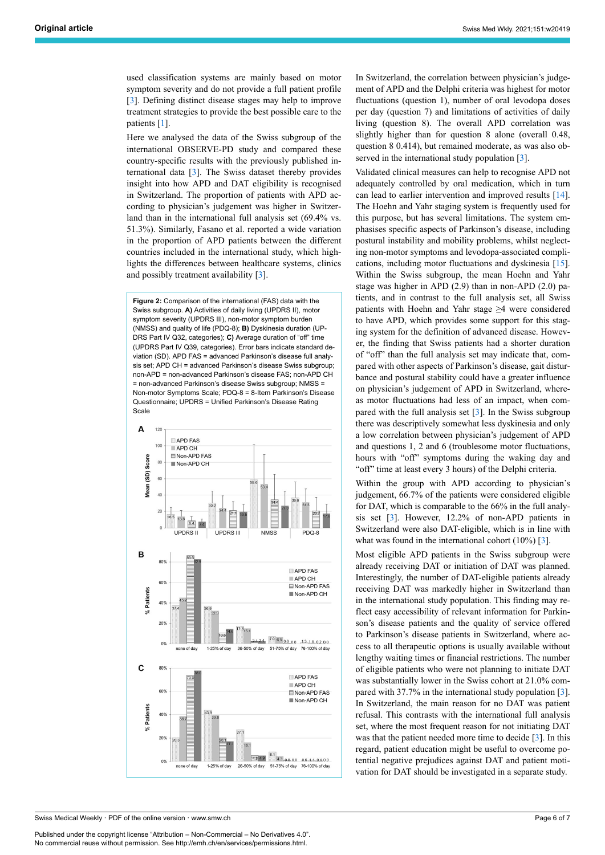used classification systems are mainly based on motor symptom severity and do not provide a full patient profile [[3](#page-6-3)]. Defining distinct disease stages may help to improve treatment strategies to provide the best possible care to the patients [[1](#page-6-0)].

Here we analysed the data of the Swiss subgroup of the international OBSERVE-PD study and compared these country-specific results with the previously published international data [[3](#page-6-3)]. The Swiss dataset thereby provides insight into how APD and DAT eligibility is recognised in Switzerland. The proportion of patients with APD according to physician's judgement was higher in Switzerland than in the international full analysis set (69.4% vs. 51.3%). Similarly, Fasano et al. reported a wide variation in the proportion of APD patients between the different countries included in the international study, which highlights the differences between healthcare systems, clinics and possibly treatment availability [\[3\]](#page-6-3).

<span id="page-5-0"></span>**Figure 2:** Comparison of the international (FAS) data with the Swiss subgroup. **A)** Activities of daily living (UPDRS II), motor symptom severity (UPDRS III), non-motor symptom burden (NMSS) and quality of life (PDQ-8); **B)** Dyskinesia duration (UP-DRS Part IV Q32, categories); **C)** Average duration of "off" time (UPDRS Part IV Q39, categories). Error bars indicate standard deviation (SD). APD FAS = advanced Parkinson's disease full analysis set; APD CH = advanced Parkinson's disease Swiss subgroup; non-APD = non-advanced Parkinson's disease FAS; non-APD CH = non-advanced Parkinson's disease Swiss subgroup; NMSS = Non-motor Symptoms Scale; PDQ-8 = 8-Item Parkinson's Disease Questionnaire; UPDRS = Unified Parkinson's Disease Rating Scale



Swiss Medical Weekly · PDF of the online version · www.smw.ch

Published under the copyright license "Attribution – Non-Commercial – No Derivatives 4.0". No commercial reuse without permission. See http://emh.ch/en/services/permissions.html.

In Switzerland, the correlation between physician's judgement of APD and the Delphi criteria was highest for motor fluctuations (question 1), number of oral levodopa doses per day (question 7) and limitations of activities of daily living (question 8). The overall APD correlation was slightly higher than for question 8 alone (overall 0.48, question 8 0.414), but remained moderate, as was also ob-served in the international study population [[3](#page-6-3)].

Validated clinical measures can help to recognise APD not adequately controlled by oral medication, which in turn can lead to earlier intervention and improved results [\[14](#page-6-10)]. The Hoehn and Yahr staging system is frequently used for this purpose, but has several limitations. The system emphasises specific aspects of Parkinson's disease, including postural instability and mobility problems, whilst neglecting non-motor symptoms and levodopa-associated complications, including motor fluctuations and dyskinesia [\[15](#page-6-11)]. Within the Swiss subgroup, the mean Hoehn and Yahr stage was higher in APD (2.9) than in non-APD (2.0) patients, and in contrast to the full analysis set, all Swiss patients with Hoehn and Yahr stage ≥4 were considered to have APD, which provides some support for this staging system for the definition of advanced disease. However, the finding that Swiss patients had a shorter duration of "off" than the full analysis set may indicate that, compared with other aspects of Parkinson's disease, gait disturbance and postural stability could have a greater influence on physician's judgement of APD in Switzerland, whereas motor fluctuations had less of an impact, when compared with the full analysis set [[3](#page-6-3)]. In the Swiss subgroup there was descriptively somewhat less dyskinesia and only a low correlation between physician's judgement of APD and questions 1, 2 and 6 (troublesome motor fluctuations, hours with "off" symptoms during the waking day and "off" time at least every 3 hours) of the Delphi criteria.

Within the group with APD according to physician's judgement, 66.7% of the patients were considered eligible for DAT, which is comparable to the 66% in the full analysis set [[3](#page-6-3)]. However, 12.2% of non-APD patients in Switzerland were also DAT-eligible, which is in line with what was found in the international cohort (10%) [[3](#page-6-3)].

Most eligible APD patients in the Swiss subgroup were already receiving DAT or initiation of DAT was planned. Interestingly, the number of DAT-eligible patients already receiving DAT was markedly higher in Switzerland than in the international study population. This finding may reflect easy accessibility of relevant information for Parkinson's disease patients and the quality of service offered to Parkinson's disease patients in Switzerland, where access to all therapeutic options is usually available without lengthy waiting times or financial restrictions. The number of eligible patients who were not planning to initiate DAT was substantially lower in the Swiss cohort at 21.0% compared with 37.7% in the international study population [[3](#page-6-3)]. In Switzerland, the main reason for no DAT was patient refusal. This contrasts with the international full analysis set, where the most frequent reason for not initiating DAT was that the patient needed more time to decide [[3](#page-6-3)]. In this regard, patient education might be useful to overcome potential negative prejudices against DAT and patient motivation for DAT should be investigated in a separate study.